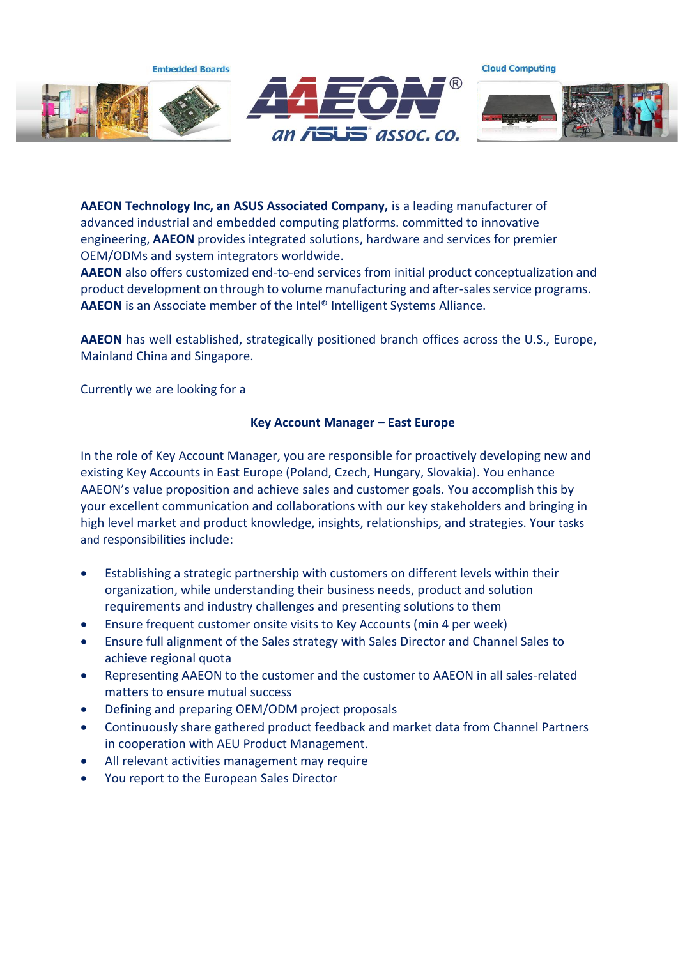**Embedded Boards** 



**Cloud Computing** 



**AAEON Technology Inc, an ASUS Associated Company,** is a leading manufacturer of advanced industrial and embedded computing platforms. committed to innovative engineering, **AAEON** provides integrated solutions, hardware and services for premier OEM/ODMs and system integrators worldwide.

**AAEON** also offers customized end-to-end services from initial product conceptualization and product development on through to volume manufacturing and after-sales service programs. **AAEON** is an Associate member of the Intel® Intelligent Systems Alliance.

**AAEON** has well established, strategically positioned branch offices across the U.S., Europe, Mainland China and Singapore.

Currently we are looking for a

## **Key Account Manager – East Europe**

In the role of Key Account Manager, you are responsible for proactively developing new and existing Key Accounts in East Europe (Poland, Czech, Hungary, Slovakia). You enhance AAEON's value proposition and achieve sales and customer goals. You accomplish this by your excellent communication and collaborations with our key stakeholders and bringing in high level market and product knowledge, insights, relationships, and strategies. Your tasks and responsibilities include:

- Establishing a strategic partnership with customers on different levels within their organization, while understanding their business needs, product and solution requirements and industry challenges and presenting solutions to them
- Ensure frequent customer onsite visits to Key Accounts (min 4 per week)
- Ensure full alignment of the Sales strategy with Sales Director and Channel Sales to achieve regional quota
- Representing AAEON to the customer and the customer to AAEON in all sales-related matters to ensure mutual success
- Defining and preparing OEM/ODM project proposals
- Continuously share gathered product feedback and market data from Channel Partners in cooperation with AEU Product Management.
- All relevant activities management may require
- You report to the European Sales Director